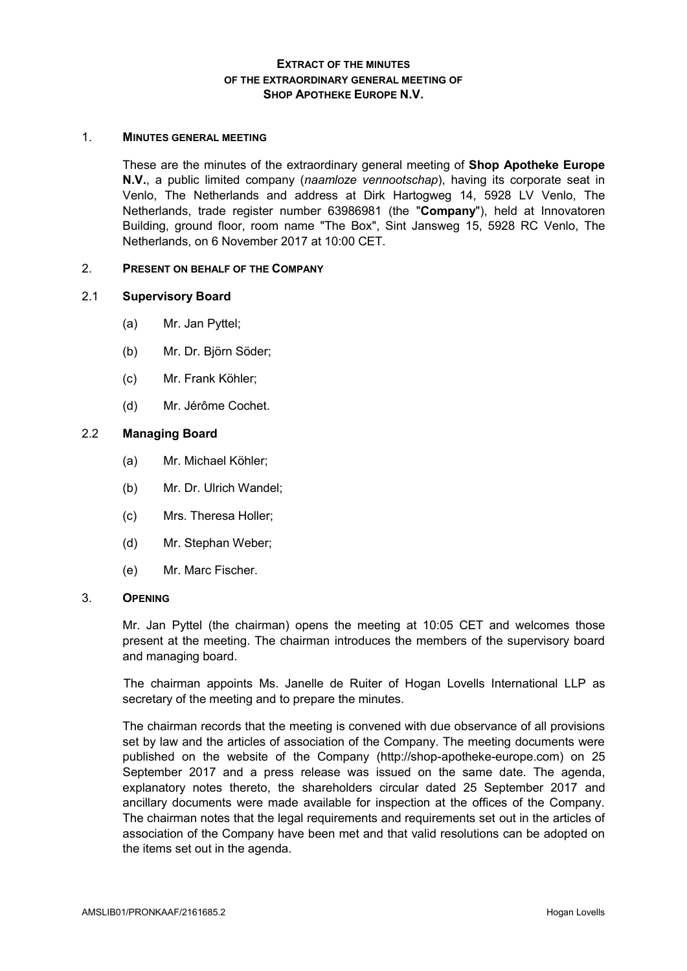# **EXTRACT OF THE MINUTES OF THE EXTRAORDINARY GENERAL MEETING OF SHOP APOTHEKE EUROPE N.V.**

#### 1. **MINUTES GENERAL MEETING**

These are the minutes of the extraordinary general meeting of **Shop Apotheke Europe N.V.**, a public limited company (*naamloze vennootschap*), having its corporate seat in Venlo, The Netherlands and address at Dirk Hartogweg 14, 5928 LV Venlo, The Netherlands, trade register number 63986981 (the "**Company**"), held at Innovatoren Building, ground floor, room name "The Box", Sint Jansweg 15, 5928 RC Venlo, The Netherlands, on 6 November 2017 at 10:00 CET.

#### 2. **PRESENT ON BEHALF OF THE COMPANY**

#### 2.1 **Supervisory Board**

- (a) Mr. Jan Pyttel;
- (b) Mr. Dr. Björn Söder;
- (c) Mr. Frank Köhler;
- (d) Mr. Jérôme Cochet.

### 2.2 **Managing Board**

- (a) Mr. Michael Köhler;
- (b) Mr. Dr. Ulrich Wandel;
- (c) Mrs. Theresa Holler;
- (d) Mr. Stephan Weber;
- (e) Mr. Marc Fischer.

#### 3. **OPENING**

Mr. Jan Pyttel (the chairman) opens the meeting at 10:05 CET and welcomes those present at the meeting. The chairman introduces the members of the supervisory board and managing board.

The chairman appoints Ms. Janelle de Ruiter of Hogan Lovells International LLP as secretary of the meeting and to prepare the minutes.

The chairman records that the meeting is convened with due observance of all provisions set by law and the articles of association of the Company. The meeting documents were published on the website of the Company (http://shop-apotheke-europe.com) on 25 September 2017 and a press release was issued on the same date. The agenda, explanatory notes thereto, the shareholders circular dated 25 September 2017 and ancillary documents were made available for inspection at the offices of the Company. The chairman notes that the legal requirements and requirements set out in the articles of association of the Company have been met and that valid resolutions can be adopted on the items set out in the agenda.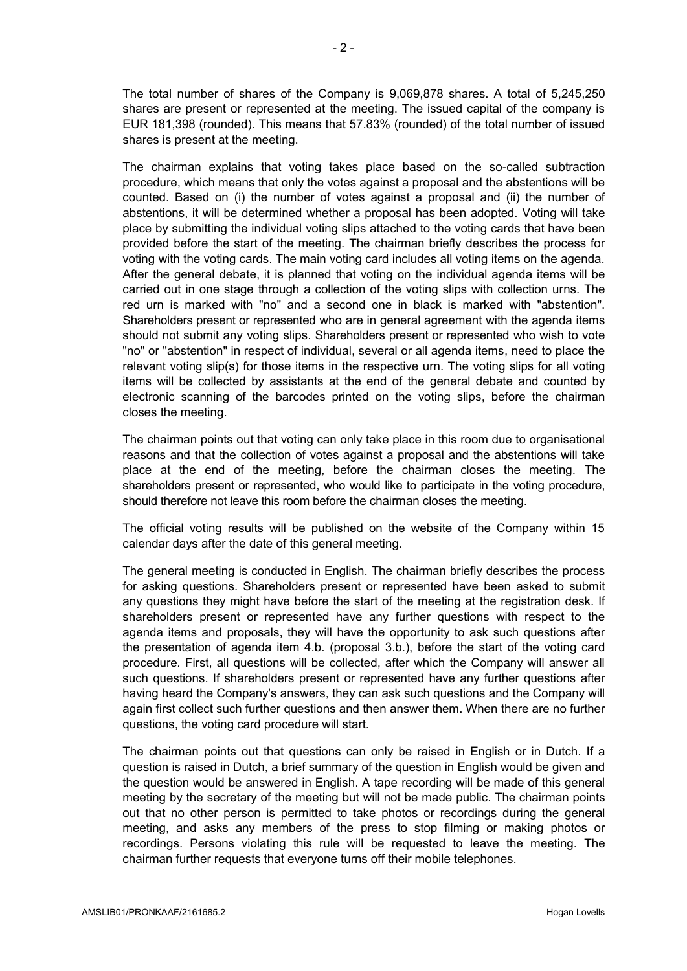The total number of shares of the Company is 9,069,878 shares. A total of 5,245,250 shares are present or represented at the meeting. The issued capital of the company is EUR 181,398 (rounded). This means that 57.83% (rounded) of the total number of issued shares is present at the meeting.

The chairman explains that voting takes place based on the so-called subtraction procedure, which means that only the votes against a proposal and the abstentions will be counted. Based on (i) the number of votes against a proposal and (ii) the number of abstentions, it will be determined whether a proposal has been adopted. Voting will take place by submitting the individual voting slips attached to the voting cards that have been provided before the start of the meeting. The chairman briefly describes the process for voting with the voting cards. The main voting card includes all voting items on the agenda. After the general debate, it is planned that voting on the individual agenda items will be carried out in one stage through a collection of the voting slips with collection urns. The red urn is marked with "no" and a second one in black is marked with "abstention". Shareholders present or represented who are in general agreement with the agenda items should not submit any voting slips. Shareholders present or represented who wish to vote "no" or "abstention" in respect of individual, several or all agenda items, need to place the relevant voting slip(s) for those items in the respective urn. The voting slips for all voting items will be collected by assistants at the end of the general debate and counted by electronic scanning of the barcodes printed on the voting slips, before the chairman closes the meeting.

The chairman points out that voting can only take place in this room due to organisational reasons and that the collection of votes against a proposal and the abstentions will take place at the end of the meeting, before the chairman closes the meeting. The shareholders present or represented, who would like to participate in the voting procedure, should therefore not leave this room before the chairman closes the meeting.

The official voting results will be published on the website of the Company within 15 calendar days after the date of this general meeting.

The general meeting is conducted in English. The chairman briefly describes the process for asking questions. Shareholders present or represented have been asked to submit any questions they might have before the start of the meeting at the registration desk. If shareholders present or represented have any further questions with respect to the agenda items and proposals, they will have the opportunity to ask such questions after the presentation of agenda item 4.b. (proposal 3.b.), before the start of the voting card procedure*.* First, all questions will be collected, after which the Company will answer all such questions. If shareholders present or represented have any further questions after having heard the Company's answers, they can ask such questions and the Company will again first collect such further questions and then answer them. When there are no further questions, the voting card procedure will start.

The chairman points out that questions can only be raised in English or in Dutch. If a question is raised in Dutch, a brief summary of the question in English would be given and the question would be answered in English. A tape recording will be made of this general meeting by the secretary of the meeting but will not be made public. The chairman points out that no other person is permitted to take photos or recordings during the general meeting, and asks any members of the press to stop filming or making photos or recordings. Persons violating this rule will be requested to leave the meeting. The chairman further requests that everyone turns off their mobile telephones.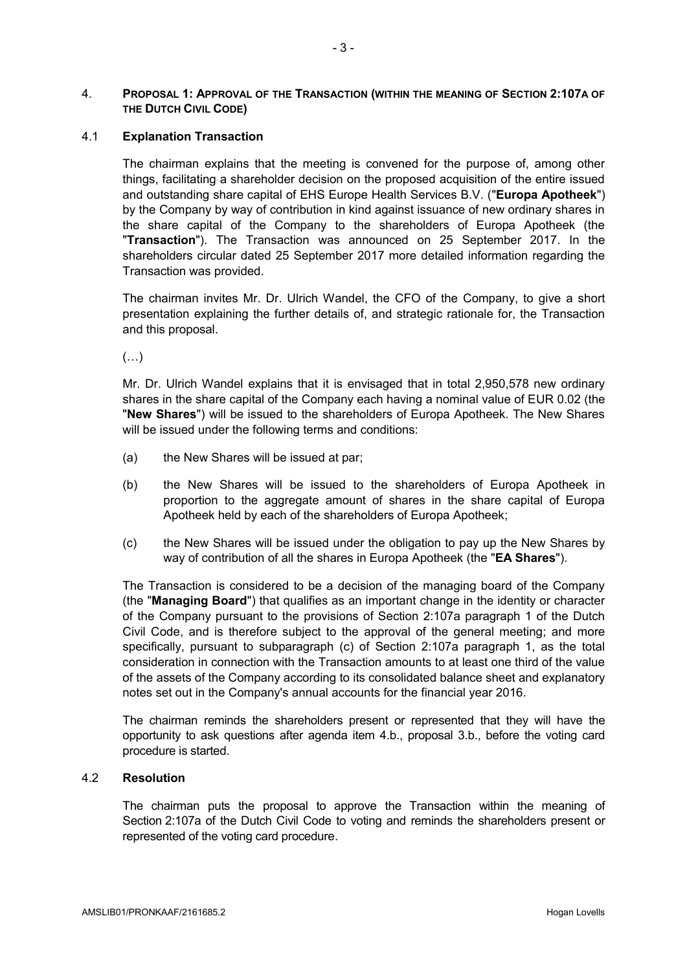## 4. **PROPOSAL 1: APPROVAL OF THE TRANSACTION (WITHIN THE MEANING OF SECTION 2:107A OF THE DUTCH CIVIL CODE)**

### 4.1 **Explanation Transaction**

The chairman explains that the meeting is convened for the purpose of, among other things, facilitating a shareholder decision on the proposed acquisition of the entire issued and outstanding share capital of EHS Europe Health Services B.V. ("**Europa Apotheek**") by the Company by way of contribution in kind against issuance of new ordinary shares in the share capital of the Company to the shareholders of Europa Apotheek (the "**Transaction**"). The Transaction was announced on 25 September 2017. In the shareholders circular dated 25 September 2017 more detailed information regarding the Transaction was provided.

The chairman invites Mr. Dr. Ulrich Wandel, the CFO of the Company, to give a short presentation explaining the further details of, and strategic rationale for, the Transaction and this proposal.

 $(\ldots)$ 

Mr. Dr. Ulrich Wandel explains that it is envisaged that in total 2,950,578 new ordinary shares in the share capital of the Company each having a nominal value of EUR 0.02 (the "**New Shares**") will be issued to the shareholders of Europa Apotheek. The New Shares will be issued under the following terms and conditions:

- (a) the New Shares will be issued at par;
- (b) the New Shares will be issued to the shareholders of Europa Apotheek in proportion to the aggregate amount of shares in the share capital of Europa Apotheek held by each of the shareholders of Europa Apotheek;
- (c) the New Shares will be issued under the obligation to pay up the New Shares by way of contribution of all the shares in Europa Apotheek (the "**EA Shares**").

The Transaction is considered to be a decision of the managing board of the Company (the "**Managing Board**") that qualifies as an important change in the identity or character of the Company pursuant to the provisions of Section 2:107a paragraph 1 of the Dutch Civil Code, and is therefore subject to the approval of the general meeting; and more specifically, pursuant to subparagraph (c) of Section 2:107a paragraph 1, as the total consideration in connection with the Transaction amounts to at least one third of the value of the assets of the Company according to its consolidated balance sheet and explanatory notes set out in the Company's annual accounts for the financial year 2016.

The chairman reminds the shareholders present or represented that they will have the opportunity to ask questions after agenda item 4.b., proposal 3.b., before the voting card procedure is started.

#### 4.2 **Resolution**

The chairman puts the proposal to approve the Transaction within the meaning of Section 2:107a of the Dutch Civil Code to voting and reminds the shareholders present or represented of the voting card procedure.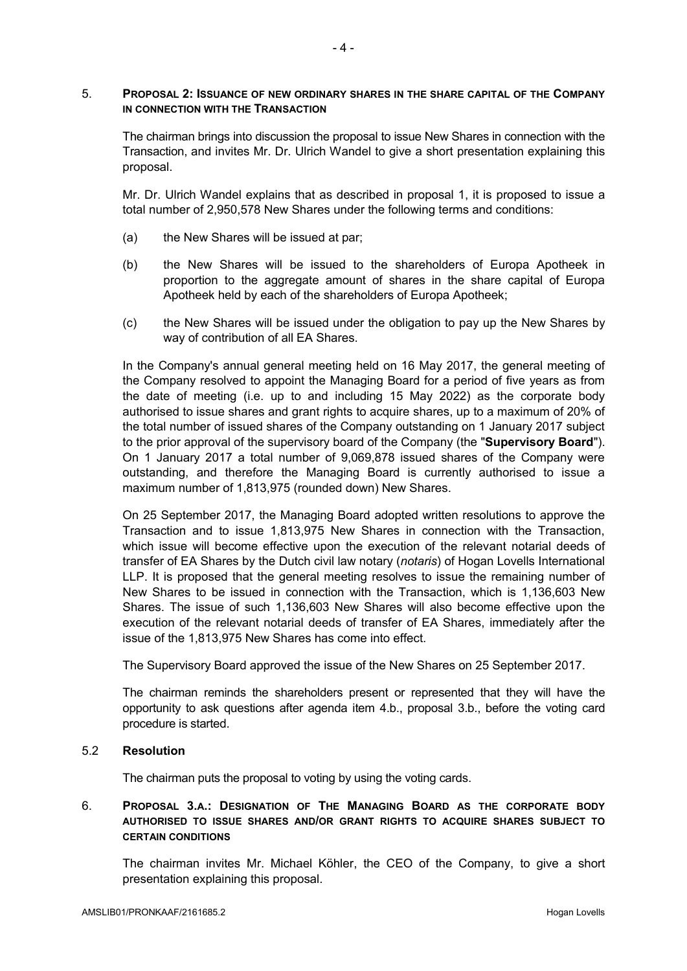### 5. **PROPOSAL 2: ISSUANCE OF NEW ORDINARY SHARES IN THE SHARE CAPITAL OF THE COMPANY IN CONNECTION WITH THE TRANSACTION**

The chairman brings into discussion the proposal to issue New Shares in connection with the Transaction, and invites Mr. Dr. Ulrich Wandel to give a short presentation explaining this proposal.

Mr. Dr. Ulrich Wandel explains that as described in proposal 1, it is proposed to issue a total number of 2,950,578 New Shares under the following terms and conditions:

- (a) the New Shares will be issued at par;
- (b) the New Shares will be issued to the shareholders of Europa Apotheek in proportion to the aggregate amount of shares in the share capital of Europa Apotheek held by each of the shareholders of Europa Apotheek;
- (c) the New Shares will be issued under the obligation to pay up the New Shares by way of contribution of all EA Shares.

In the Company's annual general meeting held on 16 May 2017, the general meeting of the Company resolved to appoint the Managing Board for a period of five years as from the date of meeting (i.e. up to and including 15 May 2022) as the corporate body authorised to issue shares and grant rights to acquire shares, up to a maximum of 20% of the total number of issued shares of the Company outstanding on 1 January 2017 subject to the prior approval of the supervisory board of the Company (the "**Supervisory Board**"). On 1 January 2017 a total number of 9,069,878 issued shares of the Company were outstanding, and therefore the Managing Board is currently authorised to issue a maximum number of 1,813,975 (rounded down) New Shares.

On 25 September 2017, the Managing Board adopted written resolutions to approve the Transaction and to issue 1,813,975 New Shares in connection with the Transaction, which issue will become effective upon the execution of the relevant notarial deeds of transfer of EA Shares by the Dutch civil law notary (*notaris*) of Hogan Lovells International LLP. It is proposed that the general meeting resolves to issue the remaining number of New Shares to be issued in connection with the Transaction, which is 1,136,603 New Shares. The issue of such 1,136,603 New Shares will also become effective upon the execution of the relevant notarial deeds of transfer of EA Shares, immediately after the issue of the 1,813,975 New Shares has come into effect.

The Supervisory Board approved the issue of the New Shares on 25 September 2017.

The chairman reminds the shareholders present or represented that they will have the opportunity to ask questions after agenda item 4.b., proposal 3.b., before the voting card procedure is started.

# 5.2 **Resolution**

The chairman puts the proposal to voting by using the voting cards.

## 6. **PROPOSAL 3.A.: DESIGNATION OF THE MANAGING BOARD AS THE CORPORATE BODY AUTHORISED TO ISSUE SHARES AND/OR GRANT RIGHTS TO ACQUIRE SHARES SUBJECT TO CERTAIN CONDITIONS**

The chairman invites Mr. Michael Köhler, the CEO of the Company, to give a short presentation explaining this proposal.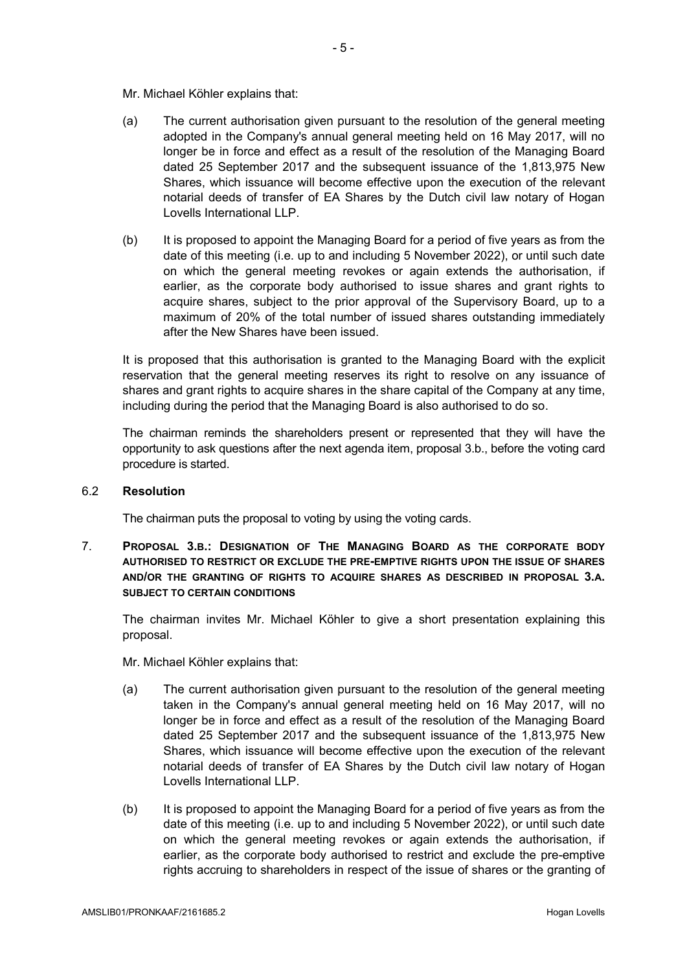Mr. Michael Köhler explains that:

- (a) The current authorisation given pursuant to the resolution of the general meeting adopted in the Company's annual general meeting held on 16 May 2017, will no longer be in force and effect as a result of the resolution of the Managing Board dated 25 September 2017 and the subsequent issuance of the 1,813,975 New Shares, which issuance will become effective upon the execution of the relevant notarial deeds of transfer of EA Shares by the Dutch civil law notary of Hogan Lovells International LLP.
- (b) It is proposed to appoint the Managing Board for a period of five years as from the date of this meeting (i.e. up to and including 5 November 2022), or until such date on which the general meeting revokes or again extends the authorisation, if earlier, as the corporate body authorised to issue shares and grant rights to acquire shares, subject to the prior approval of the Supervisory Board, up to a maximum of 20% of the total number of issued shares outstanding immediately after the New Shares have been issued.

It is proposed that this authorisation is granted to the Managing Board with the explicit reservation that the general meeting reserves its right to resolve on any issuance of shares and grant rights to acquire shares in the share capital of the Company at any time, including during the period that the Managing Board is also authorised to do so.

The chairman reminds the shareholders present or represented that they will have the opportunity to ask questions after the next agenda item, proposal 3.b., before the voting card procedure is started.

## 6.2 **Resolution**

The chairman puts the proposal to voting by using the voting cards.

7. **PROPOSAL 3.B.: DESIGNATION OF THE MANAGING BOARD AS THE CORPORATE BODY AUTHORISED TO RESTRICT OR EXCLUDE THE PRE-EMPTIVE RIGHTS UPON THE ISSUE OF SHARES AND/OR THE GRANTING OF RIGHTS TO ACQUIRE SHARES AS DESCRIBED IN PROPOSAL 3.A. SUBJECT TO CERTAIN CONDITIONS**

The chairman invites Mr. Michael Köhler to give a short presentation explaining this proposal.

Mr. Michael Köhler explains that:

- (a) The current authorisation given pursuant to the resolution of the general meeting taken in the Company's annual general meeting held on 16 May 2017, will no longer be in force and effect as a result of the resolution of the Managing Board dated 25 September 2017 and the subsequent issuance of the 1,813,975 New Shares, which issuance will become effective upon the execution of the relevant notarial deeds of transfer of EA Shares by the Dutch civil law notary of Hogan Lovells International LLP.
- (b) It is proposed to appoint the Managing Board for a period of five years as from the date of this meeting (i.e. up to and including 5 November 2022), or until such date on which the general meeting revokes or again extends the authorisation, if earlier, as the corporate body authorised to restrict and exclude the pre-emptive rights accruing to shareholders in respect of the issue of shares or the granting of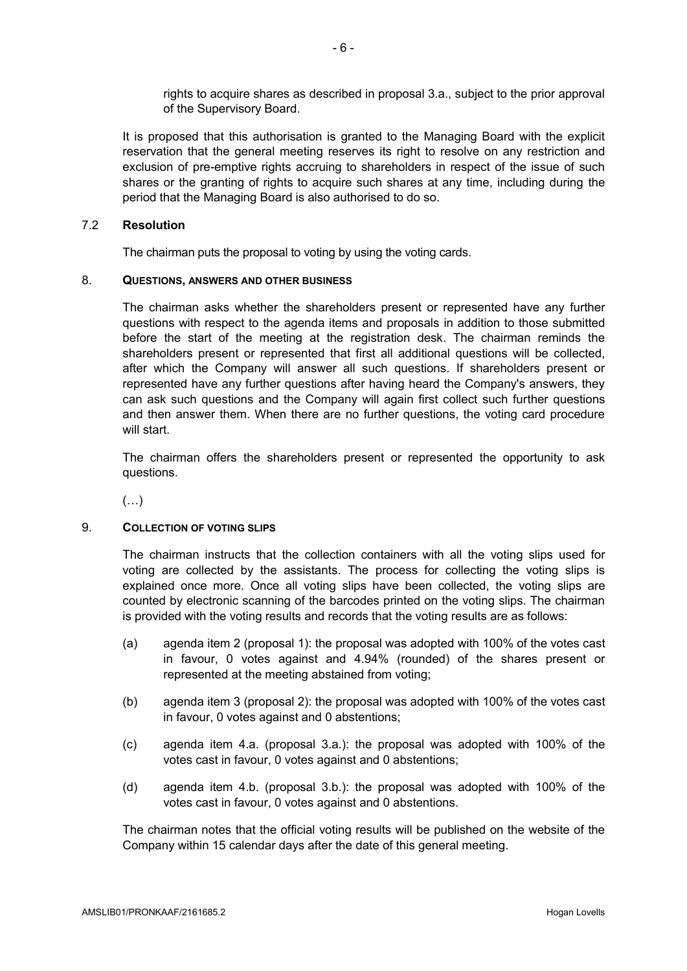rights to acquire shares as described in proposal 3.a., subject to the prior approval of the Supervisory Board.

It is proposed that this authorisation is granted to the Managing Board with the explicit reservation that the general meeting reserves its right to resolve on any restriction and exclusion of pre-emptive rights accruing to shareholders in respect of the issue of such shares or the granting of rights to acquire such shares at any time, including during the period that the Managing Board is also authorised to do so.

### 7.2 **Resolution**

The chairman puts the proposal to voting by using the voting cards.

#### 8. **QUESTIONS, ANSWERS AND OTHER BUSINESS**

The chairman asks whether the shareholders present or represented have any further questions with respect to the agenda items and proposals in addition to those submitted before the start of the meeting at the registration desk. The chairman reminds the shareholders present or represented that first all additional questions will be collected, after which the Company will answer all such questions. If shareholders present or represented have any further questions after having heard the Company's answers, they can ask such questions and the Company will again first collect such further questions and then answer them. When there are no further questions, the voting card procedure will start.

The chairman offers the shareholders present or represented the opportunity to ask questions.

 $(\ldots)$ 

#### 9. **COLLECTION OF VOTING SLIPS**

The chairman instructs that the collection containers with all the voting slips used for voting are collected by the assistants. The process for collecting the voting slips is explained once more. Once all voting slips have been collected, the voting slips are counted by electronic scanning of the barcodes printed on the voting slips. The chairman is provided with the voting results and records that the voting results are as follows:

- (a) agenda item 2 (proposal 1): the proposal was adopted with 100% of the votes cast in favour, 0 votes against and 4.94% (rounded) of the shares present or represented at the meeting abstained from voting;
- (b) agenda item 3 (proposal 2): the proposal was adopted with 100% of the votes cast in favour, 0 votes against and 0 abstentions;
- (c) agenda item 4.a. (proposal 3.a.): the proposal was adopted with 100% of the votes cast in favour, 0 votes against and 0 abstentions;
- (d) agenda item 4.b. (proposal 3.b.): the proposal was adopted with 100% of the votes cast in favour, 0 votes against and 0 abstentions.

The chairman notes that the official voting results will be published on the website of the Company within 15 calendar days after the date of this general meeting.